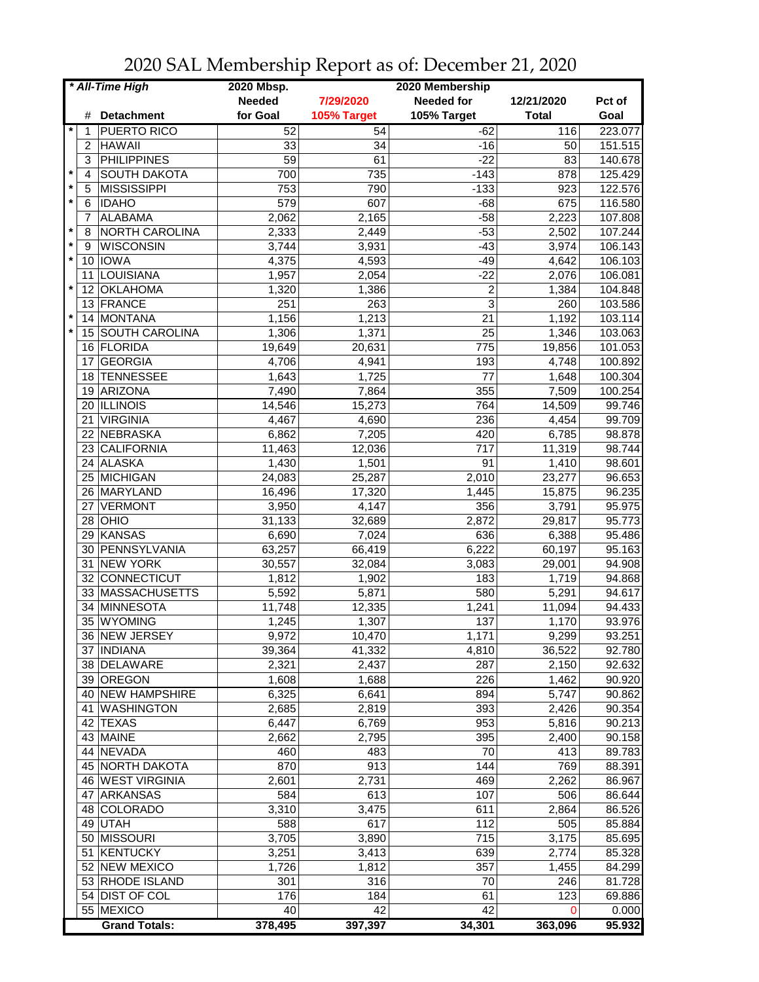| * All-Time High |                |                                 | 2020 Mbsp.     |             | 2020 Membership   |              |         |
|-----------------|----------------|---------------------------------|----------------|-------------|-------------------|--------------|---------|
|                 |                |                                 | <b>Needed</b>  | 7/29/2020   | <b>Needed for</b> | 12/21/2020   | Pct of  |
|                 | #              | <b>Detachment</b>               | for Goal       | 105% Target | 105% Target       | <b>Total</b> | Goal    |
| *               | 1              | <b>PUERTO RICO</b>              | 52             | 54          | $-62$             | 116          | 223.077 |
|                 | $\overline{c}$ | <b>HAWAII</b>                   | 33             | 34          | $-16$             | 50           | 151.515 |
|                 | 3              | <b>PHILIPPINES</b>              | 59             | 61          | $-22$             | 83           | 140.678 |
| $\star$         | 4              | <b>SOUTH DAKOTA</b>             | 700            | 735         | $-143$            | 878          | 125.429 |
| $\star$         | 5              | <b>MISSISSIPPI</b>              | 753            | 790         | $-133$            | 923          | 122.576 |
| $\star$         | 6              | <b>IDAHO</b>                    | 579            | 607         | $-68$             | 675          | 116.580 |
|                 | 7              | <b>ALABAMA</b>                  | 2,062          | 2,165       | $-58$             | 2,223        | 107.808 |
| $\star$         | 8              | NORTH CAROLINA                  | 2,333          | 2,449       | $-53$             | 2,502        | 107.244 |
| $\star$         | 9              | <b>WISCONSIN</b>                | 3,744          | 3,931       | $-43$             | 3,974        | 106.143 |
| $\star$         |                | 10 IOWA                         | 4,375          | 4,593       | $-49$             | 4,642        | 106.103 |
|                 | 11             | LOUISIANA                       | 1,957          | 2,054       | $-22$             | 2,076        | 106.081 |
| $\star$         | 12             | <b>OKLAHOMA</b>                 | 1,320          | 1,386       | $\overline{c}$    | 1,384        | 104.848 |
|                 | 13             | FRANCE                          | 251            | 263         | 3                 | 260          | 103.586 |
| $\star$         | 14             | <b>MONTANA</b>                  | 1,156          | 1,213       | 21                | 1,192        | 103.114 |
| $\star$         |                | 15 SOUTH CAROLINA               | 1,306          | 1,371       | 25                | 1,346        | 103.063 |
|                 |                | 16 FLORIDA                      | 19,649         | 20,631      | 775               | 19,856       | 101.053 |
|                 | 17             | <b>GEORGIA</b>                  | 4,706          | 4,941       | 193               | 4,748        | 100.892 |
|                 | 18             | <b>TENNESSEE</b>                | 1,643          | 1,725       | 77                | 1,648        | 100.304 |
|                 | 19             | ARIZONA                         | 7,490          | 7,864       | 355               | 7,509        | 100.254 |
|                 | 20             | <b>ILLINOIS</b>                 | 14,546         | 15,273      | 764               | 14,509       | 99.746  |
|                 | 21             | <b>VIRGINIA</b>                 | 4,467          | 4,690       | 236               | 4,454        | 99.709  |
|                 | 22             | NEBRASKA                        | 6,862          | 7,205       | 420               | 6,785        | 98.878  |
|                 |                | 23 CALIFORNIA                   | 11,463         | 12,036      | $\overline{717}$  | 11,319       | 98.744  |
|                 |                | 24 ALASKA                       | 1,430          | 1,501       | $\overline{91}$   | 1,410        | 98.601  |
|                 |                | 25 MICHIGAN                     | 24,083         | 25,287      | 2,010             | 23,277       | 96.653  |
|                 |                | 26 MARYLAND                     | 16,496         | 17,320      | 1,445             | 15,875       | 96.235  |
|                 | 27             | <b>VERMONT</b>                  | 3,950          | 4,147       | 356               | 3,791        | 95.975  |
|                 |                |                                 |                |             |                   |              |         |
|                 |                | 28   OHIO<br>29 KANSAS          | 31,133         | 32,689      | 2,872<br>636      | 29,817       | 95.773  |
|                 |                |                                 | 6,690          | 7,024       |                   | 6,388        | 95.486  |
|                 | 30<br>31       | PENNSYLVANIA<br><b>NEW YORK</b> | 63,257         | 66,419      | 6,222             | 60,197       | 95.163  |
|                 | 32             | CONNECTICUT                     | 30,557         | 32,084      | 3,083<br>183      | 29,001       | 94.908  |
|                 |                | 33 MASSACHUSETTS                | 1,812<br>5,592 | 1,902       |                   | 1,719        | 94.868  |
|                 |                |                                 |                | 5,871       | 580               | 5,291        | 94.617  |
|                 | 34             | <b>MINNESOTA</b>                | 11,748         | 12,335      | 1,241             | 11,094       | 94.433  |
|                 | 35             | WYOMING                         | 1,245          | 1,307       | 137               | 1,170        | 93.976  |
|                 |                | 36  NEW JERSEY                  | 9,972          | 10,470      | 1,171             | 9,299        | 93.251  |
|                 |                | 37 INDIANA                      | 39,364         | 41,332      | 4,810             | 36,522       | 92.780  |
|                 |                | 38 DELAWARE                     | 2,321          | 2,437       | 287               | 2,150        | 92.632  |
|                 |                | 39 OREGON                       | 1,608          | 1,688       | 226               | 1,462        | 90.920  |
|                 |                | 40 NEW HAMPSHIRE                | 6,325          | 6,641       | 894               | 5,747        | 90.862  |
|                 |                | 41   WASHINGTON                 | 2,685          | 2,819       | 393               | 2,426        | 90.354  |
|                 |                | 42 TEXAS                        | 6,447          | 6,769       | 953               | 5,816        | 90.213  |
|                 |                | 43 MAINE                        | 2,662          | 2,795       | 395               | 2,400        | 90.158  |
|                 |                | 44 NEVADA                       | 460            | 483         | 70                | 413          | 89.783  |
|                 |                | 45 NORTH DAKOTA                 | 870            | 913         | 144               | 769          | 88.391  |
|                 |                | 46 WEST VIRGINIA                | 2,601          | 2,731       | 469               | 2,262        | 86.967  |
|                 | 47             | ARKANSAS                        | 584            | 613         | 107               | 506          | 86.644  |
|                 |                | 48 COLORADO                     | 3,310          | 3,475       | 611               | 2,864        | 86.526  |
|                 |                | 49 UTAH                         | 588            | 617         | 112               | 505          | 85.884  |
|                 |                | 50 MISSOURI                     | 3,705          | 3,890       | 715               | 3,175        | 85.695  |
|                 |                | 51 KENTUCKY                     | 3,251          | 3,413       | 639               | 2,774        | 85.328  |
|                 |                | 52 NEW MEXICO                   | 1,726          | 1,812       | 357               | 1,455        | 84.299  |
|                 |                | 53 RHODE ISLAND                 | 301            | 316         | 70                | 246          | 81.728  |
|                 |                | 54 DIST OF COL                  | 176            | 184         | 61                | 123          | 69.886  |
|                 |                | 55 MEXICO                       | 40             | 42          | 42                | 0            | 0.000   |
|                 |                | <b>Grand Totals:</b>            | 378,495        | 397,397     | 34,301            | 363,096      | 95.932  |

2020 SAL Membership Report as of: December 21, 2020